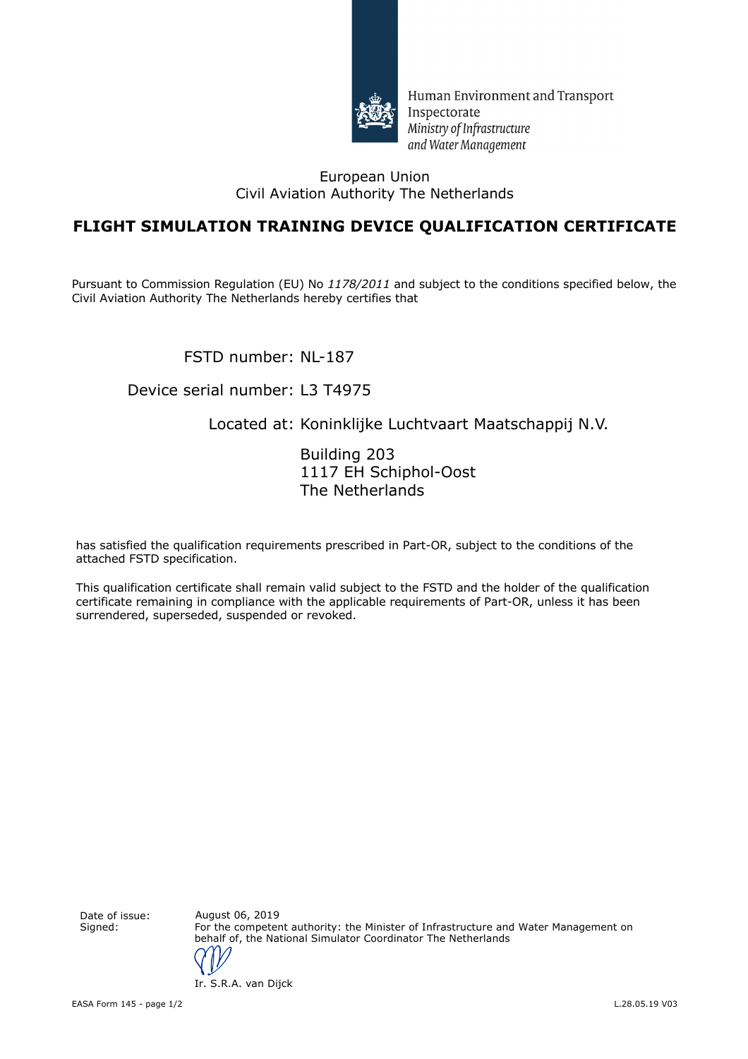

Human Environment and Transport Inspectorate Ministry of Infrastructure and Water Management

#### European Union Civil Aviation Authority The Netherlands

## **FLIGHT SIMULATION TRAINING DEVICE QUALIFICATION CERTIFICATE**

Pursuant to Commission Regulation (EU) No *1178/2011* and subject to the conditions specified below, the Civil Aviation Authority The Netherlands hereby certifies that

FSTD number: NL-187

#### Device serial number: L3 T4975

### Located at: Koninklijke Luchtvaart Maatschappij N.V.

Building 203 1117 EH Schiphol-Oost The Netherlands

has satisfied the qualification requirements prescribed in Part-OR, subject to the conditions of the attached FSTD specification.

This qualification certificate shall remain valid subject to the FSTD and the holder of the qualification certificate remaining in compliance with the applicable requirements of Part-OR, unless it has been surrendered, superseded, suspended or revoked.

Date of issue: August 06, 2019

Signed: For the competent authority: the Minister of Infrastructure and Water Management on behalf of, the National Simulator Coordinator The Netherlands